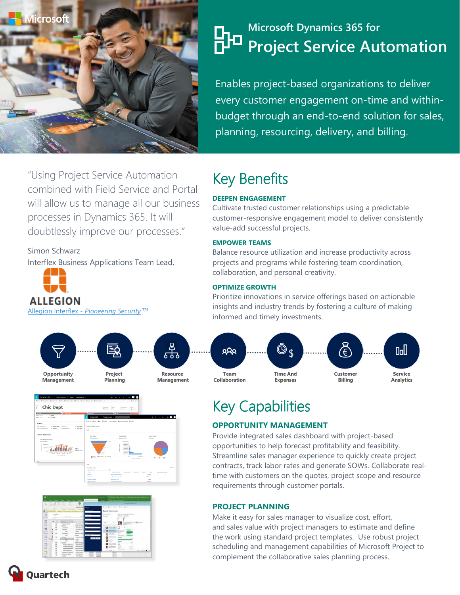

# **Microsoft Dynamics 365 for Project Service Automation**

Enables project-based organizations to deliver every customer engagement on-time and withinbudget through an end-to-end solution for sales, planning, resourcing, delivery, and billing.

# Key Benefits

### **DEEPEN ENGAGEMENT**

Cultivate trusted customer relationships using a predictable customer-responsive engagement model to deliver consistently value-add successful projects.

#### **EMPOWER TEAMS**

Balance resource utilization and increase productivity across projects and programs while fostering team coordination, collaboration, and personal creativity.

#### **OPTIMIZE GROWTH**

Prioritize innovations in service offerings based on actionable insights and industry trends by fostering a culture of making informed and timely investments.



# Key Capabilities

#### **OPPORTUNITY MANAGEMENT**

Provide integrated sales dashboard with project-based opportunities to help forecast profitability and feasibility. Streamline sales manager experience to quickly create project contracts, track labor rates and generate SOWs. Collaborate realtime with customers on the quotes, project scope and resource requirements through customer portals.

#### **PROJECT PLANNING**

Make it easy for sales manager to visualize cost, effort, and sales value with project managers to estimate and define the work using standard project templates. Use robust project scheduling and management capabilities of Microsoft Project to complement the collaborative sales planning process.

"Using Project Service Automation combined with Field Service and Portal will allow us to manage all our business processes in Dynamics 365. It will doubtlessly improve our processes."

Simon Schwarz

Interflex Business Applications Team Lead,



Allegion Interflex *- [Pioneering Security](http://www.allegion.com/corp/en/brands/interflex.html) TM*

Opportunity **Management** 





Project

Planning



**Quartech**